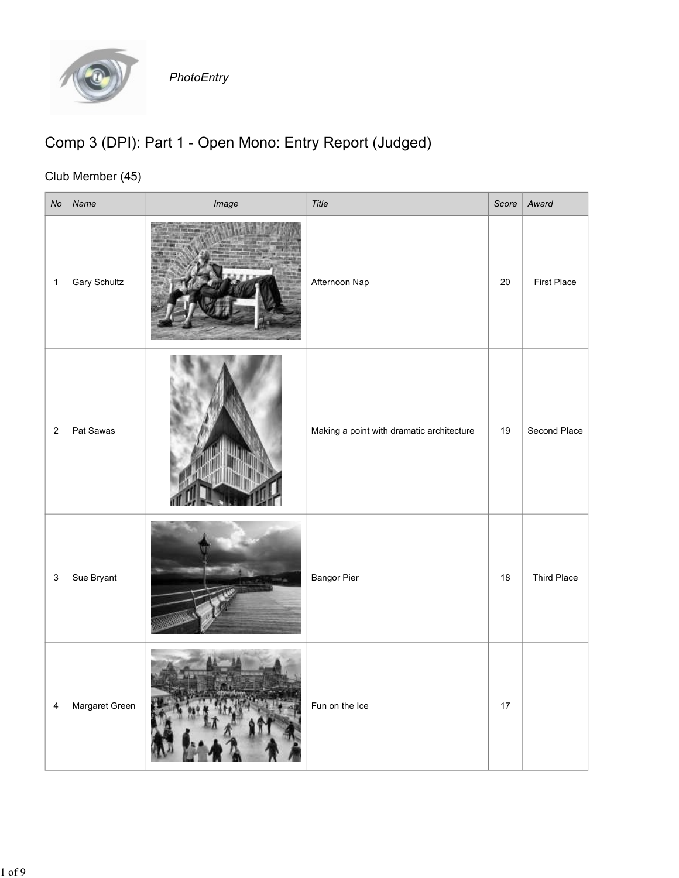

## Comp 3 (DPI): Part 1 - Open Mono: Entry Report (Judged)

## Club Member (45)

|                                                                             |                     | PhotoEntry |                                           |    |                    |
|-----------------------------------------------------------------------------|---------------------|------------|-------------------------------------------|----|--------------------|
| Comp 3 (DPI): Part 1 - Open Mono: Entry Report (Judged)<br>Club Member (45) |                     |            |                                           |    |                    |
|                                                                             | $No$ Name           | Image      | Title                                     |    | Score Award        |
| $\mathbf{1}$                                                                | <b>Gary Schultz</b> |            | Afternoon Nap                             | 20 | First Place        |
|                                                                             | 2   Pat Sawas       |            | Making a point with dramatic architecture | 19 | Second Place       |
| $3 \mid$                                                                    | Sue Bryant          |            | <b>Bangor Pier</b>                        | 18 | <b>Third Place</b> |
| $\overline{4}$                                                              | Margaret Green      |            | Fun on the Ice                            | 17 |                    |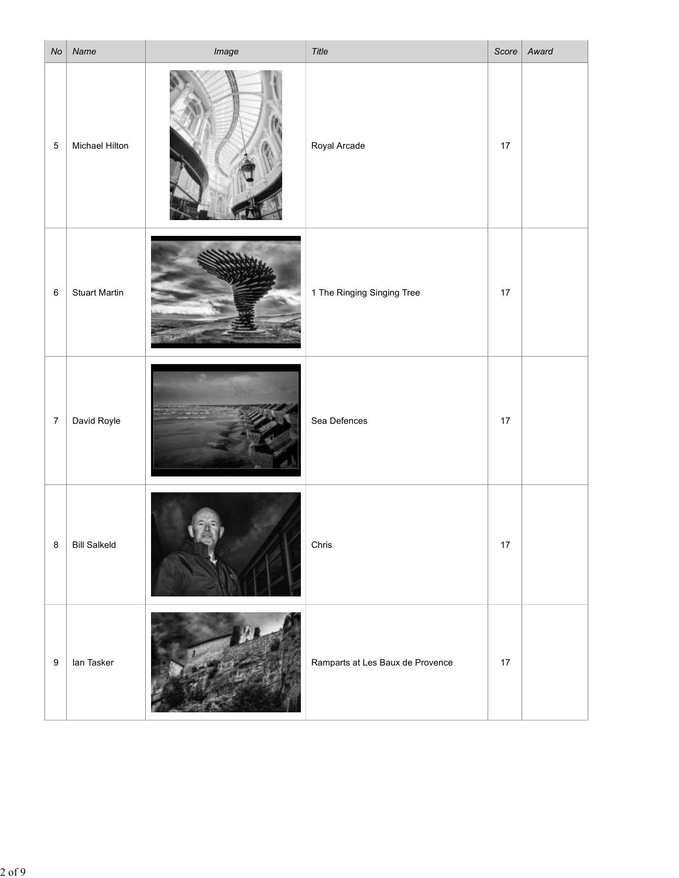| No             | Name                  | Image   | Title                            | Score | Award |
|----------------|-----------------------|---------|----------------------------------|-------|-------|
| $\sqrt{5}$     | <b>Michael Hilton</b> |         | Royal Arcade                     | 17    |       |
| 6 <sup>1</sup> | <b>Stuart Martin</b>  | stiller | 1 The Ringing Singing Tree       | 17    |       |
| $\overline{7}$ | David Royle           |         | Sea Defences                     | 17    |       |
| 8 <sup>8</sup> | <b>Bill Salkeld</b>   |         | Chris                            | 17    |       |
| 9 <sup>1</sup> | lan Tasker            |         | Ramparts at Les Baux de Provence | 17    |       |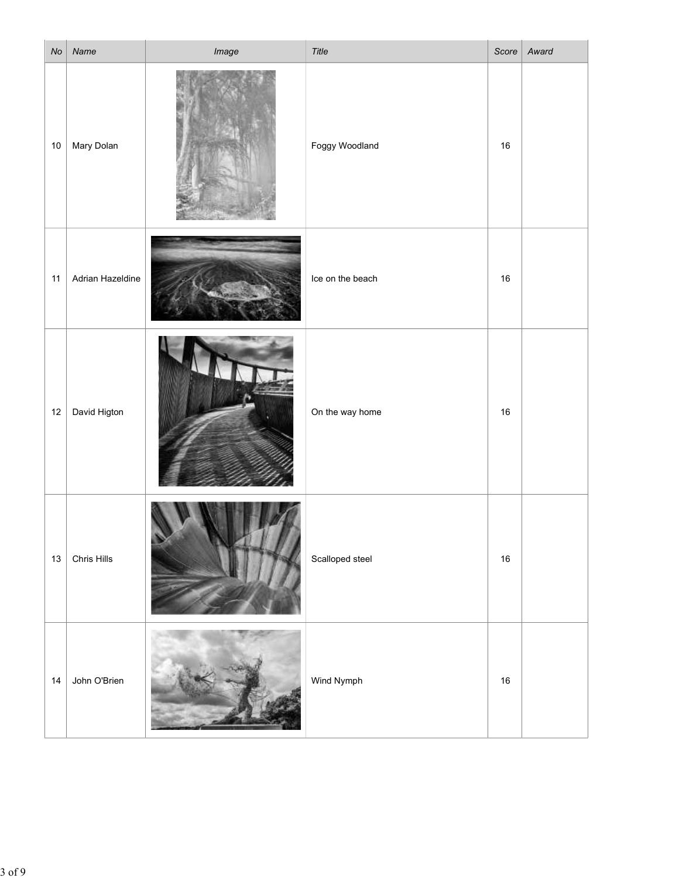| No | Name             | Image | Title            |        | Score   Award |
|----|------------------|-------|------------------|--------|---------------|
|    | 10   Mary Dolan  |       | Foggy Woodland   | 16     |               |
| 11 | Adrian Hazeldine |       | Ice on the beach | $16\,$ |               |
| 12 | David Higton     |       | On the way home  | 16     |               |
| 13 | Chris Hills      |       | Scalloped steel  | 16     |               |
| 14 | John O'Brien     |       | Wind Nymph       | 16     |               |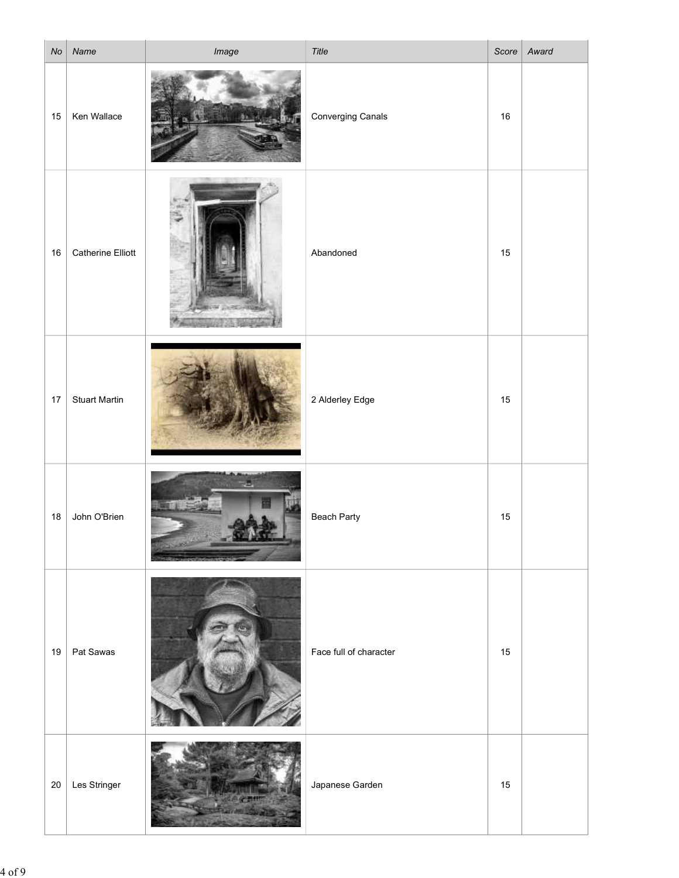| No | Name                   | Image | Title                  | Score  | Award |
|----|------------------------|-------|------------------------|--------|-------|
| 15 | Ken Wallace            |       | Converging Canals      | 16     |       |
|    | 16   Catherine Elliott | ×.    | Abandoned              | 15     |       |
| 17 | <b>Stuart Martin</b>   |       | 2 Alderley Edge        | 15     |       |
| 18 | John O'Brien           |       | Beach Party            | 15     |       |
|    | 19   Pat Sawas         |       | Face full of character | 15     |       |
|    | $20$ Les Stringer      |       | Japanese Garden        | $15\,$ |       |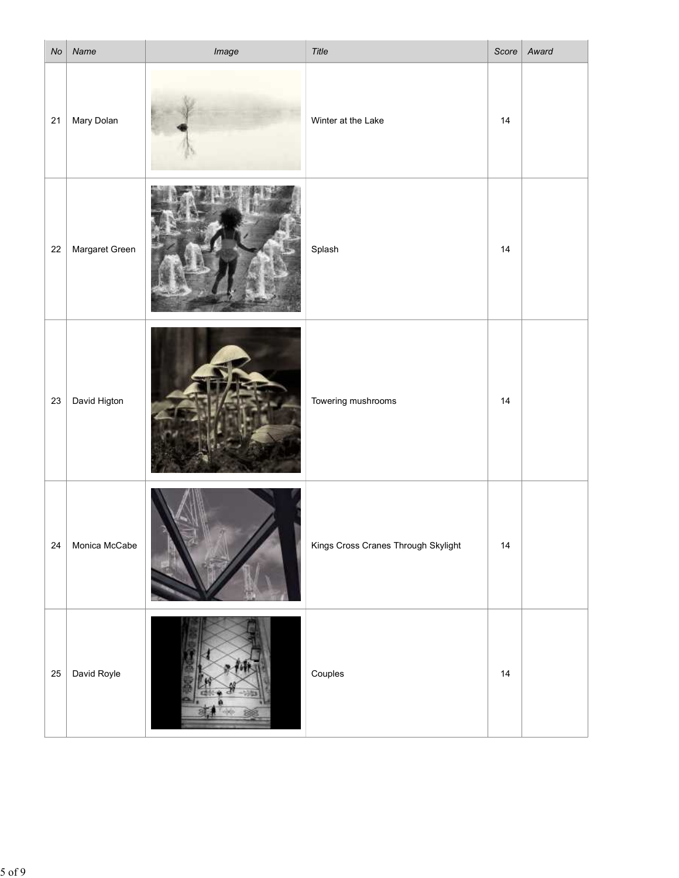| $\vert$ No $\vert$ | Name           | Image | Title                               | Score | Award |
|--------------------|----------------|-------|-------------------------------------|-------|-------|
| 21                 | Mary Dolan     |       | Winter at the Lake                  | 14    |       |
| 22                 | Margaret Green |       | Splash                              | 14    |       |
| 23                 | David Higton   |       | Towering mushrooms                  | 14    |       |
| 24                 | Monica McCabe  |       | Kings Cross Cranes Through Skylight | 14    |       |
| 25                 | David Royle    |       | Couples                             | 14    |       |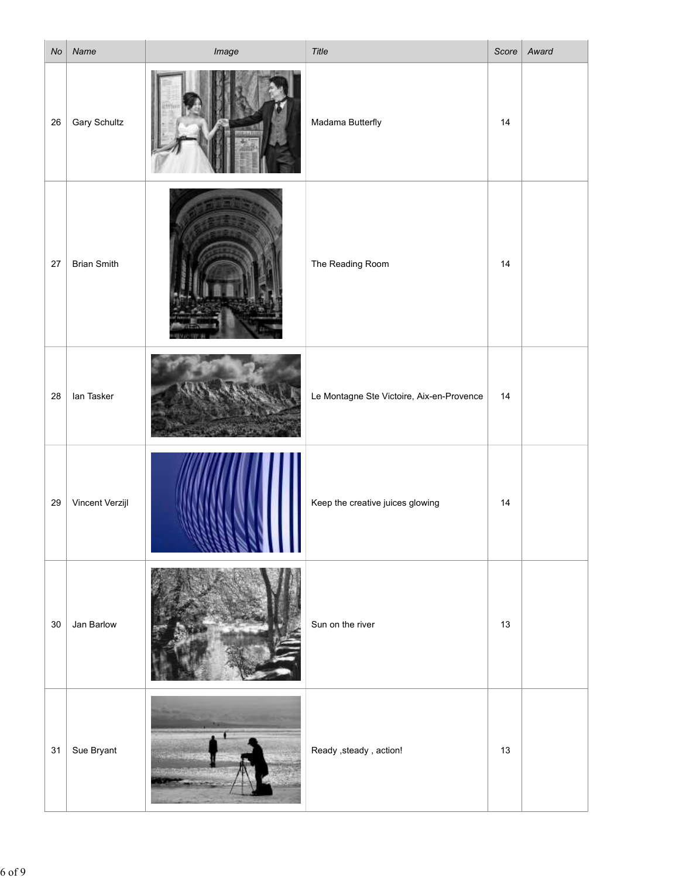| $N_{\mathcal{O}}$ | Name                | Image                                       | Title                                     |      | Score   Award |
|-------------------|---------------------|---------------------------------------------|-------------------------------------------|------|---------------|
| 26                | <b>Gary Schultz</b> |                                             | Madama Butterfly                          | 14   |               |
| 27                | <b>Brian Smith</b>  |                                             | The Reading Room                          | 14   |               |
| 28                | lan Tasker          |                                             | Le Montagne Ste Victoire, Aix-en-Provence | 14   |               |
| 29                | Vincent Verzijl     |                                             | Keep the creative juices glowing          | 14   |               |
| 30                | Jan Barlow          |                                             | Sun on the river                          | $13$ |               |
|                   | 31   Sue Bryant     | <b>CONCERNATION</b><br><b>Marine Street</b> | Ready , steady , action!                  | 13   |               |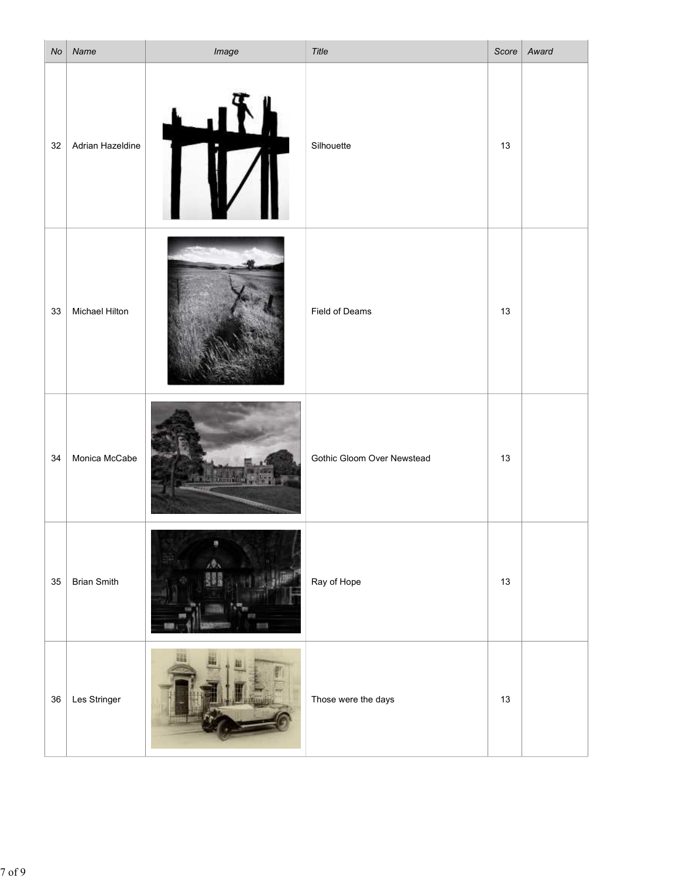| No     | Name                | Image               | Title                      | Score | Award |
|--------|---------------------|---------------------|----------------------------|-------|-------|
| $32\,$ | Adrian Hazeldine    |                     | Silhouette                 | 13    |       |
|        | 33   Michael Hilton |                     | Field of Deams             | 13    |       |
| 34     | Monica McCabe       | <b>Friday River</b> | Gothic Gloom Over Newstead | $13$  |       |
| 35     | <b>Brian Smith</b>  | 20x<br>發展菜          | Ray of Hope                | 13    |       |
|        | 36   Les Stringer   |                     | Those were the days        | 13    |       |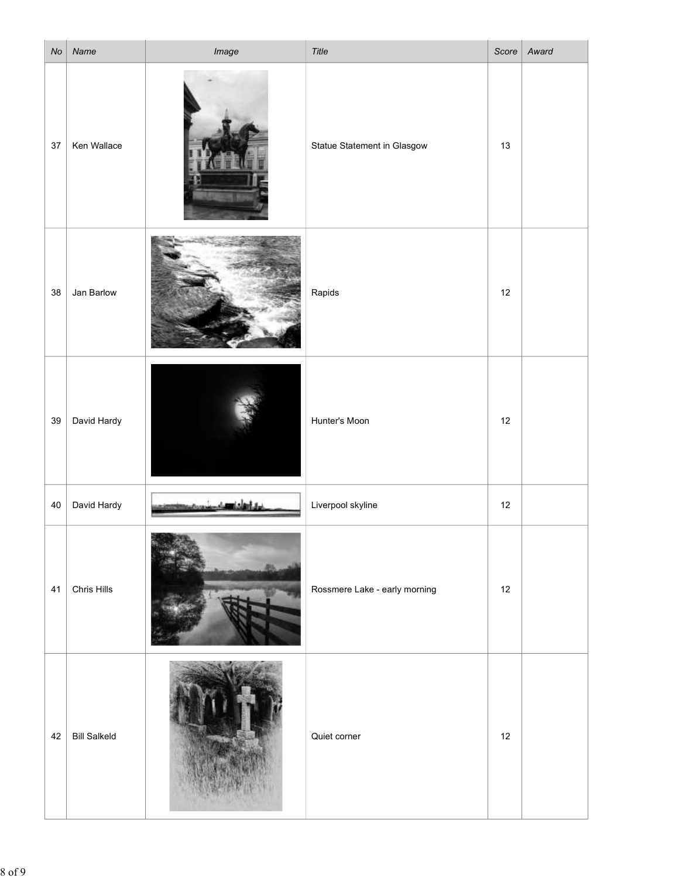| No | Name                | Image | Title                         |      | Score   Award |
|----|---------------------|-------|-------------------------------|------|---------------|
| 37 | Ken Wallace         |       | Statue Statement in Glasgow   | 13   |               |
| 38 | Jan Barlow          |       | Rapids                        | $12$ |               |
| 39 | David Hardy         |       | Hunter's Moon                 | 12   |               |
| 40 | David Hardy         |       | Liverpool skyline             | 12   |               |
| 41 | Chris Hills         |       | Rossmere Lake - early morning | 12   |               |
| 42 | <b>Bill Salkeld</b> |       | Quiet corner                  | $12$ |               |